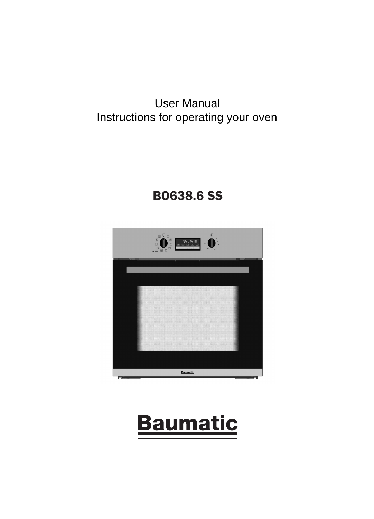### User *wanual* User Manual Instructions for operating your oven

# BO638.6 SS



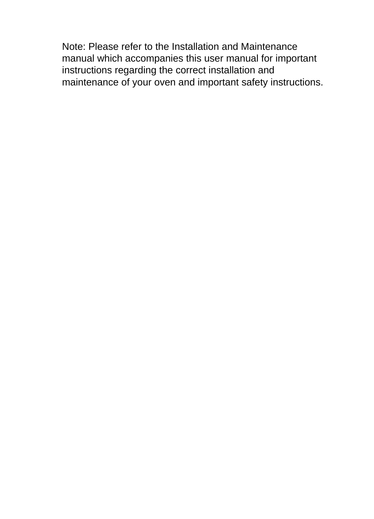Note: Please refer to the Installation and Maintenance manual which accompanies this user manual for important instructions regarding the correct installation and maintenance of your oven and important safety instructions.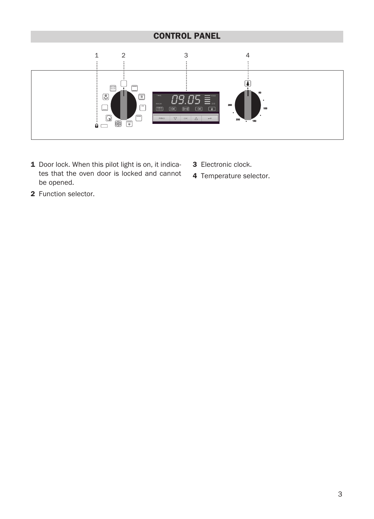## CONTROL PANEL



- 1 Door lock. When this pilot light is on, it indicates that the oven door is locked and cannot be opened.
- 3 Electronic clock.
- 4 Temperature selector.

2 Function selector.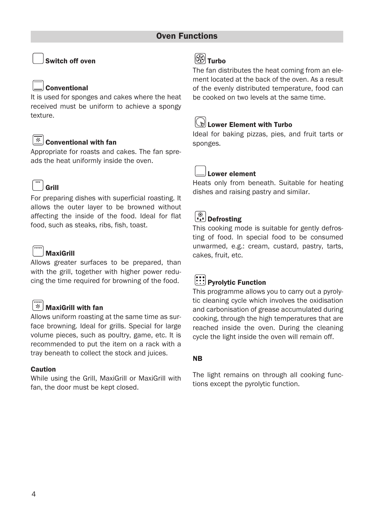### Switch off oven

#### Conventional

It is used for sponges and cakes where the heat received must be uniform to achieve a spongy texture.

# $\boxed{*}$  Conventional with fan

Appropriate for roasts and cakes. The fan spreads the heat uniformly inside the oven.

# Grill

For preparing dishes with superficial roasting. It allows the outer layer to be browned without affecting the inside of the food. Ideal for flat food, such as steaks, ribs, fish, toast.

## MaxiGrill

Allows greater surfaces to be prepared, than with the grill, together with higher power reducing the time required for browning of the food.

### $\mathbb{R}$  MaxiGrill with fan

Allows uniform roasting at the same time as surface browning. Ideal for grills. Special for large volume pieces, such as poultry, game, etc. It is recommended to put the item on a rack with a tray beneath to collect the stock and juices.

#### Caution

While using the Grill, MaxiGrill or MaxiGrill with fan, the door must be kept closed.

# **S**Turbo

The fan distributes the heat coming from an element located at the back of the oven. As a result of the evenly distributed temperature, food can be cooked on two levels at the same time.

# **Lower Element with Turbo**

Ideal for baking pizzas, pies, and fruit tarts or sponges.

## Lower element

Heats only from beneath. Suitable for heating dishes and raising pastry and similar.

# Defrosting

This cooking mode is suitable for gently defrosting of food. In special food to be consumed unwarmed, e.g.: cream, custard, pastry, tarts, cakes, fruit, etc.

# Pyrolytic Function

This programme allows you to carry out a pyrolytic cleaning cycle which involves the oxidisation and carbonisation of grease accumulated during cooking, through the high temperatures that are reached inside the oven. During the cleaning cycle the light inside the oven will remain off.

#### NB

The light remains on through all cooking functions except the pyrolytic function.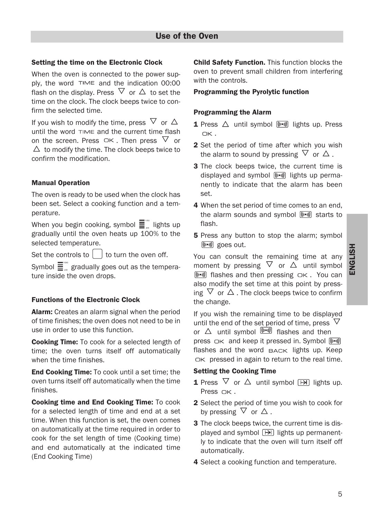#### Setting the time on the Electronic Clock

When the oven is connected to the power supply, the word  $TIME$  and the indication 00:00 flash on the display. Press  $\triangledown$  or  $\triangle$  to set the time on the clock. The clock beeps twice to confirm the selected time.

If you wish to modify the time, press  $\overline{\vee}$  or  $\Delta$ until the word  $\tau$  ime and the current time flash on the screen. Press  $\Box K$ . Then press  $\bigtriangledown$  or  $\Delta$  to modify the time. The clock beeps twice to confirm the modification.

#### Manual Operation

The oven is ready to be used when the clock has been set. Select a cooking function and a temperature.

When you begin cooking, symbol  $\Xi^{\degree}$  lights up gradually until the oven heats up 100% to the selected temperature.

Set the controls to  $\vert \ \vert$  to turn the oven off.

Symbol  $\equiv \mathbb{S}^{\infty}$  gradually goes out as the temperature inside the oven drops.

#### Functions of the Electronic Clock

Alarm: Creates an alarm signal when the period of time finishes; the oven does not need to be in use in order to use this function.

Cooking Time: To cook for a selected length of time; the oven turns itself off automatically when the time finishes.

End Cooking Time: To cook until a set time; the oven turns itself off automatically when the time finishes.

Cooking time and End Cooking Time: To cook for a selected length of time and end at a set time. When this function is set, the oven comes on automatically at the time required in order to cook for the set length of time (Cooking time) and end automatically at the indicated time (End Cooking Time)

Child Safety Function. This function blocks the oven to prevent small children from interfering with the controls.

#### Programming the Pyrolytic function

#### Programming the Alarm

- **1** Press  $\triangle$  until symbol  $\overline{(\cdots)}$  lights up. Press nк.
- 2 Set the period of time after which you wish the alarm to sound by pressing  $\triangledown$  or  $\triangle$ .
- 3 The clock beeps twice, the current time is displayed and symbol  $\overline{(\cdots)}$  lights up permanently to indicate that the alarm has been set.
- 4 When the set period of time comes to an end, the alarm sounds and symbol  $\left(\frac{(\cdot \cdot \cdot)}{(\cdot \cdot \cdot)}\right)$  starts to flash.
- **5** Press any button to stop the alarm; symbol  $(\overline{(\cdots)})$  goes out.

You can consult the remaining time at any moment by pressing  $\nabla$  or  $\Delta$  until symbol  $[\overline{(\mathbf{F} \cdot \mathbf{w})}]$  flashes and then pressing  $\Box K$ . You can also modify the set time at this point by pressing  $\nabla$  or  $\Delta$ . The clock beeps twice to confirm the change.

If you wish the remaining time to be displayed until the end of the set period of time, press  $\,\nabla\,$ or  $\triangle$  until symbol  $\frac{(\mathbf{F}(\mathbf{F}, \mathbf{v}))}{\mathbf{F}}$  flashes and then press  $\Box K$  and keep it pressed in. Symbol  $\boxed{(\cdots)}$ flashes and the word BACK lights up. Keep  $O(K)$  pressed in again to return to the real time.

#### Setting the Cooking Time

- **1** Press  $\nabla$  or  $\Delta$  until symbol  $\overline{[P]}$  lights up. Press  $QK$ .
- 2 Select the period of time you wish to cook for by pressing  $\triangledown$  or  $\triangle$ .
- 3 The clock beeps twice, the current time is displayed and symbol  $[\rightarrow]$  lights up permanently to indicate that the oven will turn itself off automatically.
- 4 Select a cooking function and temperature.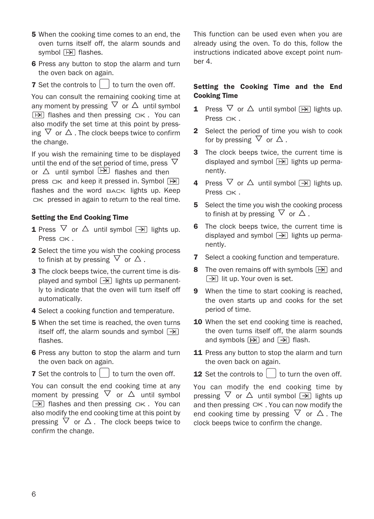- **5** When the cooking time comes to an end, the oven turns itself off, the alarm sounds and symbol  $\boxed{\mapsto}$  flashes.
- 6 Press any button to stop the alarm and turn the oven back on again.
- **7** Set the controls to  $\left\lceil \begin{array}{c} \n\end{array} \right\rceil$  to turn the oven off.

You can consult the remaining cooking time at any moment by pressing  $\nabla$  or  $\Delta$  until symbol  $\overline{[H]}$  flashes and then pressing  $\overline{OK}$ . You can also modify the set time at this point by pressing  $\nabla$  or  $\Delta$ . The clock beeps twice to confirm the change.

If you wish the remaining time to be displayed until the end of the set period of time, press  $\,\nabla\,$ or  $\triangle$  until symbol  $\boxed{\rightarrow}$  flashes and then press  $\Box K$  and keep it pressed in. Symbol  $\Box$ flashes and the word  $BACK$  lights up. Keep pressed in again to return to the real time.

### Setting the End Cooking Time

- **1** Press  $\nabla$  or  $\Delta$  until symbol  $\rightarrow$  lights up. Press OK.
- 2 Select the time you wish the cooking process to finish at by pressing  $\triangledown$  or  $\triangle$ .
- 3 The clock beeps twice, the current time is displayed and symbol  $\boxed{\rightarrow}$  lights up permanently to indicate that the oven will turn itself off automatically.
- 4 Select a cooking function and temperature.
- 5 When the set time is reached, the oven turns itself off, the alarm sounds and symbol  $\boxed{\rightarrow}$ flashes.
- 6 Press any button to stop the alarm and turn the oven back on again.
- **7** Set the controls to  $\vert$  to turn the oven off.

You can consult the end cooking time at any moment by pressing  $\nabla$  or  $\Delta$  until symbol  $\boxed{\rightarrow}$  flashes and then pressing  $\Box$ K. You can also modify the end cooking time at this point by pressing  $\nabla$  or  $\Delta$ . The clock beeps twice to confirm the change.

This function can be used even when you are already using the oven. To do this, follow the instructions indicated above except point number 4.

#### Setting the Cooking Time and the End Cooking Time

- **1** Press  $\nabla$  or  $\Delta$  until symbol  $\boxed{|\nabla|}$  lights up. Press  $\n *N*$ .
- 2 Select the period of time you wish to cook for by pressing  $\triangledown$  or  $\triangle$ .
- 3 The clock beeps twice, the current time is displayed and symbol  $[\rightarrow]$  lights up permanently.
- **4** Press  $\nabla$  or  $\Delta$  until symbol  $\rightarrow$  lights up. Press OK.
- 5 Select the time you wish the cooking process to finish at by pressing  $\triangledown$  or  $\triangle$ .
- 6 The clock beeps twice, the current time is displayed and symbol  $\rightarrow$  lights up permanently.
- **7** Select a cooking function and temperature.
- 8 The oven remains off with symbols  $[\rightarrow]$  and  $\boxed{\rightarrow}$  lit up. Your oven is set.
- **9** When the time to start cooking is reached, the oven starts up and cooks for the set period of time.
- 10 When the set end cooking time is reached, the oven turns itself off, the alarm sounds and symbols  $\boxed{\rightarrow}$  and  $\boxed{\rightarrow}$  flash.
- 11 Press any button to stop the alarm and turn the oven back on again.
- **12** Set the controls to  $\vert$  to turn the oven off.

You can modify the end cooking time by pressing  $\nabla$  or  $\Delta$  until symbol  $\boxed{\rightarrow}$  lights up and then pressing  $O K$ . You can now modify the end cooking time by pressing  $\triangledown$  or  $\triangle$ . The clock beeps twice to confirm the change.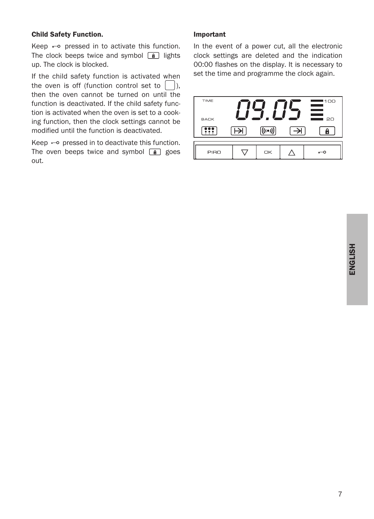#### Child Safety Function.

Keep  $\leftarrow$  pressed in to activate this function. The clock beeps twice and symbol  $\boxed{a}$  lights up. The clock is blocked.

If the child safety function is activated when the oven is off (function control set to  $\Box$ ), then the oven cannot be turned on until the function is deactivated. If the child safety function is activated when the oven is set to a cooking function, then the clock settings cannot be modified until the function is deactivated.

Keep  $\leftarrow$  pressed in to deactivate this function. The oven beeps twice and symbol  $\boxed{a}$  goes out.

#### Important

In the event of a power cut, all the electronic clock settings are deleted and the indication 00:00 flashes on the display. It is necessary to set the time and programme the clock again.

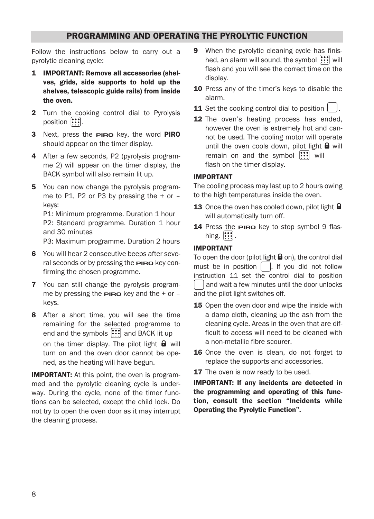### PROGRAMMING AND OPERATING THE PYROLYTIC FUNCTION

Follow the instructions below to carry out a pyrolytic cleaning cycle:

- 1 IMPORTANT: Remove all accessories (shelves, grids, side supports to hold up the shelves, telescopic guide rails) from inside the oven.
- 2 Turn the cooking control dial to Pyrolysis position  $\left[\cdot\right]$ .
- 3 Next, press the **PIRO** key, the word **PIRO** should appear on the timer display.
- 4 After a few seconds, P2 (pyrolysis programme 2) will appear on the timer display, the BACK symbol will also remain lit up.
- 5 You can now change the pyrolysis programme to P1, P2 or P3 by pressing the  $+$  or  $$ keys:

P1: Minimum programme. Duration 1 hour P2: Standard programme. Duration 1 hour and 30 minutes

P3: Maximum programme. Duration 2 hours

- 6 You will hear 2 consecutive beeps after several seconds or by pressing the **PIRO** key confirming the chosen programme.
- 7 You can still change the pyrolysis programme by pressing the  $P_{I}$  and the + or – keys.
- 8 After a short time, you will see the time remaining for the selected programme to end and the symbols  $\left| \cdots \right|$  and BACK lit up on the timer display. The pilot light  $\mathbf \Theta$  will turn on and the oven door cannot be opened, as the heating will have begun.

**IMPORTANT:** At this point, the oven is programmed and the pyrolytic cleaning cycle is underway. During the cycle, none of the timer functions can be selected, except the child lock. Do not try to open the oven door as it may interrupt the cleaning process.

- 9 When the pyrolytic cleaning cycle has finished, an alarm will sound, the symbol  $\left| \cdots \right|$  will flash and you will see the correct time on the display.
- 10 Press any of the timer's keys to disable the alarm.
- 11 Set the cooking control dial to position
- 12 The oven's heating process has ended, however the oven is extremely hot and cannot be used. The cooling motor will operate until the oven cools down, pilot light  $\mathbf \Theta$  will remain on and the symbol  $\left| \cdot \right|$  will flash on the timer display.

#### IMPORTANT

The cooling process may last up to 2 hours owing to the high temperatures inside the oven.

- 13 Once the oven has cooled down, pilot light  $\mathbf \Theta$ will automatically turn off.
- 14 Press the **PIRO** key to stop symbol 9 flashing.  $\left| \cdots \right|$

#### IMPORTANT

To open the door (pilot light  $\mathbf \Theta$  on), the control dial must be in position  $\begin{bmatrix} 1 \\ 1 \end{bmatrix}$ . If you did not follow instruction 11 set the control dial to position and wait a few minutes until the door unlocks and the pilot light switches off.

- 15 Open the oven door and wipe the inside with a damp cloth, cleaning up the ash from the cleaning cycle. Areas in the oven that are difficult to access will need to be cleaned with a non-metallic fibre scourer.
- 16 Once the oven is clean, do not forget to replace the supports and accessories.
- **17** The oven is now ready to be used.

IMPORTANT: If any incidents are detected in the programming and operating of this function, consult the section "Incidents while Operating the Pyrolytic Function".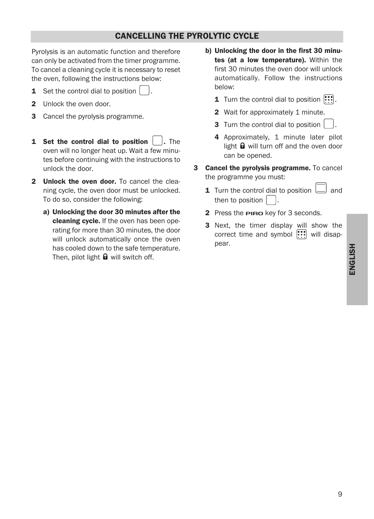### CANCELLING THE PYROLYTIC CYCLE

Pyrolysis is an automatic function and therefore can only be activated from the timer programme. To cancel a cleaning cycle it is necessary to reset the oven, following the instructions below:

- **1** Set the control dial to position
- 2 Unlock the oven door.
- 3 Cancel the pyrolysis programme.
- **1** Set the control dial to position  $\vert \cdot \vert$ . The oven will no longer heat up. Wait a few minutes before continuing with the instructions to unlock the door.
- 2 Unlock the oven door. To cancel the cleaning cycle, the oven door must be unlocked. To do so, consider the following:
	- a) Unlocking the door 30 minutes after the cleaning cycle. If the oven has been operating for more than 30 minutes, the door will unlock automatically once the oven has cooled down to the safe temperature. Then, pilot light  $\blacksquare$  will switch off.
- b) Unlocking the door in the first 30 minutes (at a low temperature). Within the first 30 minutes the oven door will unlock automatically. Follow the instructions below:
	- **1** Turn the control dial to position  $\left|\mathbf{::}\right|$ .
	- 2 Wait for approximately 1 minute.
	- 3 Turn the control dial to position
	- 4 Approximately, 1 minute later pilot light  $\mathbf \Theta$  will turn off and the oven door can be opened.
- 3 Cancel the pyrolysis programme. To cancel the programme you must:
	- **1** Turn the control dial to position  $\begin{bmatrix} \end{bmatrix}$  and then to position
	- 2 Press the **PIRO** key for 3 seconds.
	- 3 Next, the timer display will show the correct time and symbol  $\left| \cdots \right|$  will disappear.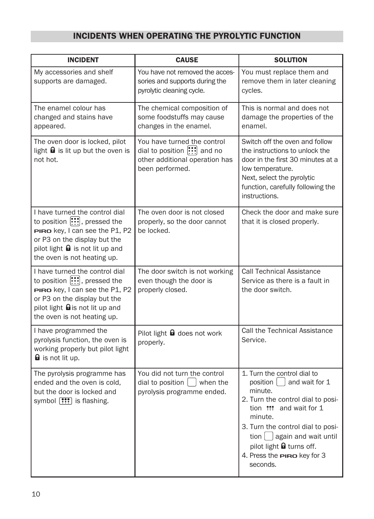# INCIDENTS WHEN OPERATING THE PYROLYTIC FUNCTION

| <b>INCIDENT</b>                                                                                                                                                                                                              | <b>CAUSE</b>                                                                                                                      | <b>SOLUTION</b>                                                                                                                                                                                                                                                                                                       |
|------------------------------------------------------------------------------------------------------------------------------------------------------------------------------------------------------------------------------|-----------------------------------------------------------------------------------------------------------------------------------|-----------------------------------------------------------------------------------------------------------------------------------------------------------------------------------------------------------------------------------------------------------------------------------------------------------------------|
| My accessories and shelf<br>supports are damaged.                                                                                                                                                                            | You have not removed the acces-<br>sories and supports during the<br>pyrolytic cleaning cycle.                                    | You must replace them and<br>remove them in later cleaning<br>cycles.                                                                                                                                                                                                                                                 |
| The enamel colour has<br>changed and stains have<br>appeared.                                                                                                                                                                | The chemical composition of<br>some foodstuffs may cause<br>changes in the enamel.                                                | This is normal and does not<br>damage the properties of the<br>enamel.                                                                                                                                                                                                                                                |
| The oven door is locked, pilot<br>light $\boldsymbol{\Theta}$ is lit up but the oven is<br>not hot.                                                                                                                          | You have turned the control<br>dial to position $\left \cdots\right $ and no<br>other additional operation has<br>been performed. | Switch off the oven and follow<br>the instructions to unlock the<br>door in the first 30 minutes at a<br>low temperature.<br>Next, select the pyrolytic<br>function, carefully following the<br>instructions.                                                                                                         |
| I have turned the control dial<br>to position [:::], pressed the<br>PIRO key, I can see the P1, P2<br>or P3 on the display but the<br>pilot light $\mathbf \Theta$ is not lit up and<br>the oven is not heating up.          | The oven door is not closed<br>properly, so the door cannot<br>be locked.                                                         | Check the door and make sure<br>that it is closed properly.                                                                                                                                                                                                                                                           |
| I have turned the control dial<br>to position $\left[\cdots\right]$ , pressed the<br>PIRO key, I can see the P1, P2<br>or P3 on the display but the<br>pilot light <b>Q</b> is not lit up and<br>the oven is not heating up. | The door switch is not working<br>even though the door is<br>properly closed.                                                     | <b>Call Technical Assistance</b><br>Service as there is a fault in<br>the door switch.                                                                                                                                                                                                                                |
| I have programmed the<br>pyrolysis function, the oven is<br>working properly but pilot light<br><b>a</b> is not lit up.                                                                                                      | Pilot light <b>Q</b> does not work<br>properly.                                                                                   | <b>Call the Technical Assistance</b><br>Service.                                                                                                                                                                                                                                                                      |
| The pyrolysis programme has<br>ended and the oven is cold,<br>but the door is locked and<br>symbol [ !! is flashing.                                                                                                         | You did not turn the control<br>dial to position $\vert \ \vert$ when the<br>pyrolysis programme ended.                           | 1. Turn the control dial to<br>position $\vert$ and wait for 1<br>minute.<br>2. Turn the control dial to posi-<br>tion ::: and wait for 1<br>minute.<br>3. Turn the control dial to posi-<br>tion $\bigcup$ again and wait until<br>pilot light $\theta$ turns off.<br>4. Press the <b>PIRO</b> key for 3<br>seconds. |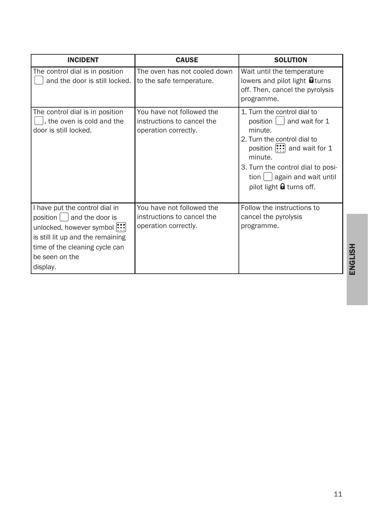| <b>INCIDENT</b>                                                                                                                                                                                        | <b>CAUSE</b>                                                                    | <b>SOLUTION</b>                                                                                                                                                                                                                                 |
|--------------------------------------------------------------------------------------------------------------------------------------------------------------------------------------------------------|---------------------------------------------------------------------------------|-------------------------------------------------------------------------------------------------------------------------------------------------------------------------------------------------------------------------------------------------|
| The control dial is in position<br>and the door is still locked.                                                                                                                                       | The oven has not cooled down<br>to the safe temperature.                        | Wait until the temperature<br>lowers and pilot light <b>a</b> turns<br>off. Then, cancel the pyrolysis<br>programme.                                                                                                                            |
| The control dial is in position<br>, the oven is cold and the<br>door is still locked.                                                                                                                 | You have not followed the<br>instructions to cancel the<br>operation correctly. | 1. Turn the control dial to<br>position  <br>and wait for 1<br>minute.<br>2. Turn the control dial to<br>position ::: and wait for 1<br>minute.<br>3. Turn the control dial to posi-<br>$tion$ again and wait until<br>pilot light a turns off. |
| I have put the control dial in<br>$position \mid$ and the door is<br>unlocked, however symbol :::<br>is still lit up and the remaining<br>time of the cleaning cycle can<br>be seen on the<br>display. | You have not followed the<br>instructions to cancel the<br>operation correctly. | Follow the instructions to<br>cancel the pyrolysis<br>programme.                                                                                                                                                                                |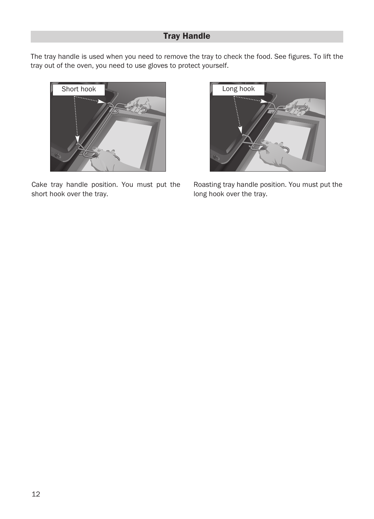# Tray Handle

The tray handle is used when you need to remove the tray to check the food. See figures. To lift the tray out of the oven, you need to use gloves to protect yourself.



Cake tray handle position. You must put the short hook over the tray.



Roasting tray handle position. You must put the long hook over the tray.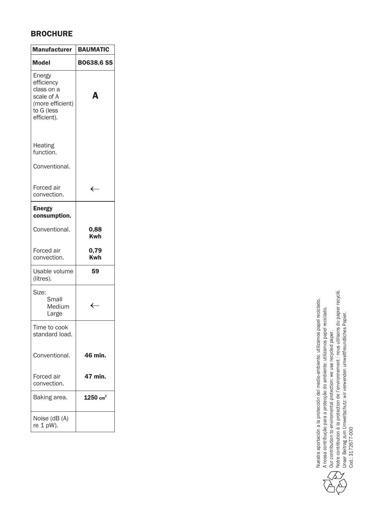### **BROCHURE**

| <b>Manufacturer</b>                                                                               | <b>BAUMATIC</b>     |
|---------------------------------------------------------------------------------------------------|---------------------|
| <b>Model</b>                                                                                      | <b>B0638.6 SS</b>   |
| Energy<br>efficiency<br>class on a<br>scale of A<br>(more efficient)<br>to G (less<br>efficient). | Δ                   |
| Heating<br>function.                                                                              |                     |
| Conventional.                                                                                     |                     |
| Forced air<br>convection.                                                                         | $\leftarrow$        |
| Energy<br>consumption.                                                                            |                     |
| Conventional.                                                                                     | 0,88<br><b>Kwh</b>  |
| Forced air<br>convection.                                                                         | 0,79<br><b>Kwh</b>  |
| Usable volume<br>(litres).                                                                        | 59                  |
| Size:<br>Small<br>Medium<br>Large                                                                 | $\leftarrow$        |
| Time to cook<br>standard load.                                                                    |                     |
| Conventional.                                                                                     | 46 min.             |
| Forced air<br>convection.                                                                         | 47 min.             |
| Baking area.                                                                                      | $1250 \text{ cm}^2$ |
| Noise (dB (A)<br>re 1 pW).                                                                        |                     |

Nuestra aportación a la protección del medio-ambiente: utilizamos papel reciclado. Nuestra aportación a la protección del medio-ambiente: utilizamos papel reciclado. A nossa contribução para a protecção do ambiente: utilizamos papel reciclado. A nossa contribução para a protecção do ambiente: utilizamos papel reciclado. Our contribution to enviromental protection: we use recycled paper.



Our contribution to enviromental protection: we use recycled paper.<br>Notre contribution à la protection de l'environnement : nous utilisons du papier recyclé.<br>Unser Beitrag zum Umweltschutz: wir verwenden umweltfreundliches Notre contribution à la protection de l'environnement : nous utilisons du papier recyclé. Unser Beitrag zum Umweltschutz: wir verwenden umweltfreundliches Papier.